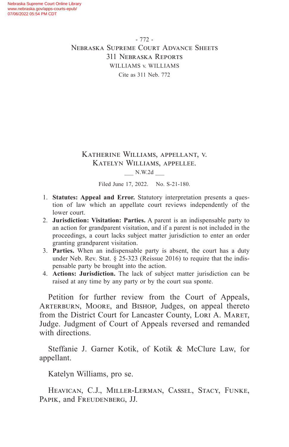- 772 - Nebraska Supreme Court Advance Sheets 311 Nebraska Reports WILLIAMS v. WILLIAMS Cite as 311 Neb. 772

# Katherine Williams, appellant, v. Katelyn Williams, appellee.

#### \_\_\_ N.W.2d \_\_\_

Filed June 17, 2022. No. S-21-180.

- 1. **Statutes: Appeal and Error.** Statutory interpretation presents a question of law which an appellate court reviews independently of the lower court.
- 2. **Jurisdiction: Visitation: Parties.** A parent is an indispensable party to an action for grandparent visitation, and if a parent is not included in the proceedings, a court lacks subject matter jurisdiction to enter an order granting grandparent visitation.
- 3. **Parties.** When an indispensable party is absent, the court has a duty under Neb. Rev. Stat. § 25-323 (Reissue 2016) to require that the indispensable party be brought into the action.
- 4. **Actions: Jurisdiction.** The lack of subject matter jurisdiction can be raised at any time by any party or by the court sua sponte.

Petition for further review from the Court of Appeals, ARTERBURN, MOORE, and BISHOP, Judges, on appeal thereto from the District Court for Lancaster County, LORI A. MARET, Judge. Judgment of Court of Appeals reversed and remanded with directions.

Steffanie J. Garner Kotik, of Kotik & McClure Law, for appellant.

Katelyn Williams, pro se.

Heavican, C.J., Miller-Lerman, Cassel, Stacy, Funke, Papik, and Freudenberg, JJ.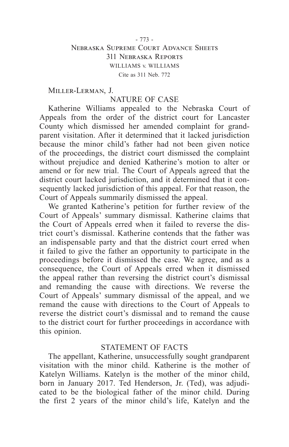### - 773 - Nebraska Supreme Court Advance Sheets 311 Nebraska Reports WILLIAMS v. WILLIAMS Cite as 311 Neb. 772

Miller-Lerman, J.

## NATURE OF CASE

Katherine Williams appealed to the Nebraska Court of Appeals from the order of the district court for Lancaster County which dismissed her amended complaint for grandparent visitation. After it determined that it lacked jurisdiction because the minor child's father had not been given notice of the proceedings, the district court dismissed the complaint without prejudice and denied Katherine's motion to alter or amend or for new trial. The Court of Appeals agreed that the district court lacked jurisdiction, and it determined that it consequently lacked jurisdiction of this appeal. For that reason, the Court of Appeals summarily dismissed the appeal.

We granted Katherine's petition for further review of the Court of Appeals' summary dismissal. Katherine claims that the Court of Appeals erred when it failed to reverse the district court's dismissal. Katherine contends that the father was an indispensable party and that the district court erred when it failed to give the father an opportunity to participate in the proceedings before it dismissed the case. We agree, and as a consequence, the Court of Appeals erred when it dismissed the appeal rather than reversing the district court's dismissal and remanding the cause with directions. We reverse the Court of Appeals' summary dismissal of the appeal, and we remand the cause with directions to the Court of Appeals to reverse the district court's dismissal and to remand the cause to the district court for further proceedings in accordance with this opinion.

#### STATEMENT OF FACTS

The appellant, Katherine, unsuccessfully sought grandparent visitation with the minor child. Katherine is the mother of Katelyn Williams. Katelyn is the mother of the minor child, born in January 2017. Ted Henderson, Jr. (Ted), was adjudicated to be the biological father of the minor child. During the first 2 years of the minor child's life, Katelyn and the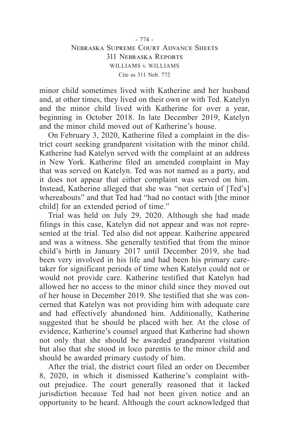minor child sometimes lived with Katherine and her husband and, at other times, they lived on their own or with Ted. Katelyn and the minor child lived with Katherine for over a year, beginning in October 2018. In late December 2019, Katelyn and the minor child moved out of Katherine's house.

On February 3, 2020, Katherine filed a complaint in the district court seeking grandparent visitation with the minor child. Katherine had Katelyn served with the complaint at an address in New York. Katherine filed an amended complaint in May that was served on Katelyn. Ted was not named as a party, and it does not appear that either complaint was served on him. Instead, Katherine alleged that she was "not certain of [Ted's] whereabouts" and that Ted had "had no contact with [the minor child] for an extended period of time."

Trial was held on July 29, 2020. Although she had made filings in this case, Katelyn did not appear and was not represented at the trial. Ted also did not appear. Katherine appeared and was a witness. She generally testified that from the minor child's birth in January 2017 until December 2019, she had been very involved in his life and had been his primary caretaker for significant periods of time when Katelyn could not or would not provide care. Katherine testified that Katelyn had allowed her no access to the minor child since they moved out of her house in December 2019. She testified that she was concerned that Katelyn was not providing him with adequate care and had effectively abandoned him. Additionally, Katherine suggested that he should be placed with her. At the close of evidence, Katherine's counsel argued that Katherine had shown not only that she should be awarded grandparent visitation but also that she stood in loco parentis to the minor child and should be awarded primary custody of him.

After the trial, the district court filed an order on December 8, 2020, in which it dismissed Katherine's complaint without prejudice. The court generally reasoned that it lacked jurisdiction because Ted had not been given notice and an opportunity to be heard. Although the court acknowledged that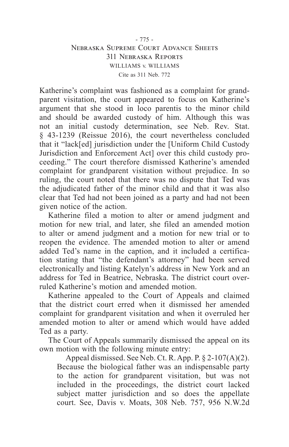### - 775 - Nebraska Supreme Court Advance Sheets 311 Nebraska Reports WILLIAMS v. WILLIAMS Cite as 311 Neb. 772

Katherine's complaint was fashioned as a complaint for grandparent visitation, the court appeared to focus on Katherine's argument that she stood in loco parentis to the minor child and should be awarded custody of him. Although this was not an initial custody determination, see Neb. Rev. Stat. § 43-1239 (Reissue 2016), the court nevertheless concluded that it "lack[ed] jurisdiction under the [Uniform Child Custody Jurisdiction and Enforcement Act] over this child custody proceeding." The court therefore dismissed Katherine's amended complaint for grandparent visitation without prejudice. In so ruling, the court noted that there was no dispute that Ted was the adjudicated father of the minor child and that it was also clear that Ted had not been joined as a party and had not been given notice of the action.

Katherine filed a motion to alter or amend judgment and motion for new trial, and later, she filed an amended motion to alter or amend judgment and a motion for new trial or to reopen the evidence. The amended motion to alter or amend added Ted's name in the caption, and it included a certification stating that "the defendant's attorney" had been served electronically and listing Katelyn's address in New York and an address for Ted in Beatrice, Nebraska. The district court overruled Katherine's motion and amended motion.

Katherine appealed to the Court of Appeals and claimed that the district court erred when it dismissed her amended complaint for grandparent visitation and when it overruled her amended motion to alter or amend which would have added Ted as a party.

The Court of Appeals summarily dismissed the appeal on its own motion with the following minute entry:

Appeal dismissed. See Neb. Ct. R. App. P. § 2-107(A)(2). Because the biological father was an indispensable party to the action for grandparent visitation, but was not included in the proceedings, the district court lacked subject matter jurisdiction and so does the appellate court. See, Davis v. Moats, 308 Neb. 757, 956 N.W.2d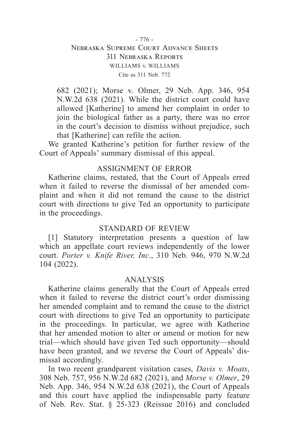### - 776 - Nebraska Supreme Court Advance Sheets 311 Nebraska Reports WILLIAMS v. WILLIAMS Cite as 311 Neb. 772

682 (2021); Morse v. Olmer, 29 Neb. App. 346, 954 N.W.2d 638 (2021). While the district court could have allowed [Katherine] to amend her complaint in order to join the biological father as a party, there was no error in the court's decision to dismiss without prejudice, such that [Katherine] can refile the action.

We granted Katherine's petition for further review of the Court of Appeals' summary dismissal of this appeal.

## ASSIGNMENT OF ERROR

Katherine claims, restated, that the Court of Appeals erred when it failed to reverse the dismissal of her amended complaint and when it did not remand the cause to the district court with directions to give Ted an opportunity to participate in the proceedings.

### STANDARD OF REVIEW

[1] Statutory interpretation presents a question of law which an appellate court reviews independently of the lower court. *Porter v. Knife River, Inc.*, 310 Neb. 946, 970 N.W.2d 104 (2022).

#### ANALYSIS

Katherine claims generally that the Court of Appeals erred when it failed to reverse the district court's order dismissing her amended complaint and to remand the cause to the district court with directions to give Ted an opportunity to participate in the proceedings. In particular, we agree with Katherine that her amended motion to alter or amend or motion for new trial—which should have given Ted such opportunity—should have been granted, and we reverse the Court of Appeals' dismissal accordingly.

In two recent grandparent visitation cases, *Davis v. Moats*, 308 Neb. 757, 956 N.W.2d 682 (2021), and *Morse v. Olmer*, 29 Neb. App. 346, 954 N.W.2d 638 (2021), the Court of Appeals and this court have applied the indispensable party feature of Neb. Rev. Stat. § 25-323 (Reissue 2016) and concluded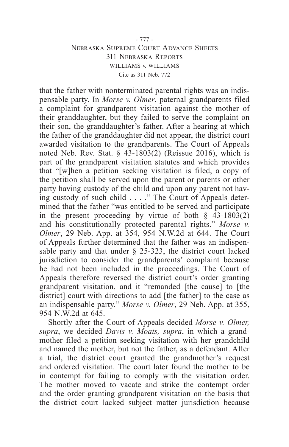#### - 777 - Nebraska Supreme Court Advance Sheets 311 Nebraska Reports WILLIAMS v. WILLIAMS Cite as 311 Neb. 772

that the father with nonterminated parental rights was an indispensable party. In *Morse v. Olmer*, paternal grandparents filed a complaint for grandparent visitation against the mother of their granddaughter, but they failed to serve the complaint on their son, the granddaughter's father. After a hearing at which the father of the granddaughter did not appear, the district court awarded visitation to the grandparents. The Court of Appeals noted Neb. Rev. Stat.  $\S$  43-1803(2) (Reissue 2016), which is part of the grandparent visitation statutes and which provides that "[w]hen a petition seeking visitation is filed, a copy of the petition shall be served upon the parent or parents or other party having custody of the child and upon any parent not having custody of such child . . . ." The Court of Appeals determined that the father "was entitled to be served and participate in the present proceeding by virtue of both  $\hat{\xi}$  43-1803(2) and his constitutionally protected parental rights." *Morse v. Olmer*, 29 Neb. App. at 354, 954 N.W.2d at 644. The Court of Appeals further determined that the father was an indispensable party and that under § 25-323, the district court lacked jurisdiction to consider the grandparents' complaint because he had not been included in the proceedings. The Court of Appeals therefore reversed the district court's order granting grandparent visitation, and it "remanded [the cause] to [the district] court with directions to add [the father] to the case as an indispensable party." *Morse v. Olmer*, 29 Neb. App. at 355, 954 N.W.2d at 645.

Shortly after the Court of Appeals decided *Morse v. Olmer, supra*, we decided *Davis v. Moats, supra*, in which a grandmother filed a petition seeking visitation with her grandchild and named the mother, but not the father, as a defendant. After a trial, the district court granted the grandmother's request and ordered visitation. The court later found the mother to be in contempt for failing to comply with the visitation order. The mother moved to vacate and strike the contempt order and the order granting grandparent visitation on the basis that the district court lacked subject matter jurisdiction because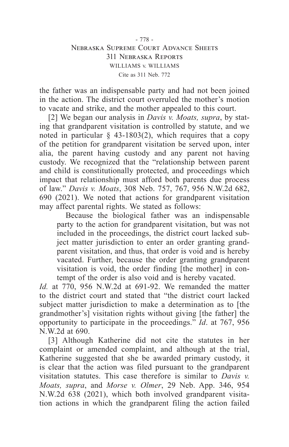#### - 778 - Nebraska Supreme Court Advance Sheets 311 Nebraska Reports WILLIAMS v. WILLIAMS Cite as 311 Neb. 772

the father was an indispensable party and had not been joined in the action. The district court overruled the mother's motion to vacate and strike, and the mother appealed to this court.

[2] We began our analysis in *Davis v. Moats, supra*, by stating that grandparent visitation is controlled by statute, and we noted in particular  $\S$  43-1803(2), which requires that a copy of the petition for grandparent visitation be served upon, inter alia, the parent having custody and any parent not having custody. We recognized that the "relationship between parent and child is constitutionally protected, and proceedings which impact that relationship must afford both parents due process of law." *Davis v. Moats*, 308 Neb. 757, 767, 956 N.W.2d 682, 690 (2021). We noted that actions for grandparent visitation may affect parental rights. We stated as follows:

Because the biological father was an indispensable party to the action for grandparent visitation, but was not included in the proceedings, the district court lacked subject matter jurisdiction to enter an order granting grandparent visitation, and thus, that order is void and is hereby vacated. Further, because the order granting grandparent visitation is void, the order finding [the mother] in contempt of the order is also void and is hereby vacated.

*Id.* at 770, 956 N.W.2d at 691-92. We remanded the matter to the district court and stated that "the district court lacked subject matter jurisdiction to make a determination as to [the grandmother's] visitation rights without giving [the father] the opportunity to participate in the proceedings." *Id*. at 767, 956 N.W.2d at 690.

[3] Although Katherine did not cite the statutes in her complaint or amended complaint, and although at the trial, Katherine suggested that she be awarded primary custody, it is clear that the action was filed pursuant to the grandparent visitation statutes. This case therefore is similar to *Davis v. Moats, supra*, and *Morse v. Olmer*, 29 Neb. App. 346, 954 N.W.2d 638 (2021), which both involved grandparent visitation actions in which the grandparent filing the action failed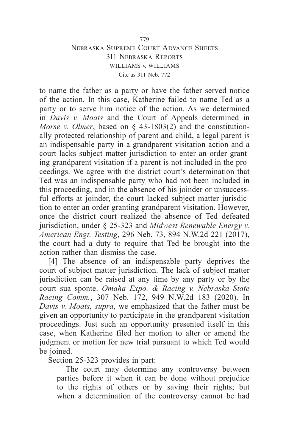### - 779 - Nebraska Supreme Court Advance Sheets 311 Nebraska Reports WILLIAMS v. WILLIAMS Cite as 311 Neb. 772

to name the father as a party or have the father served notice of the action. In this case, Katherine failed to name Ted as a party or to serve him notice of the action. As we determined in *Davis v. Moats* and the Court of Appeals determined in *Morse v. Olmer*, based on § 43-1803(2) and the constitutionally protected relationship of parent and child, a legal parent is an indispensable party in a grandparent visitation action and a court lacks subject matter jurisdiction to enter an order granting grandparent visitation if a parent is not included in the proceedings. We agree with the district court's determination that Ted was an indispensable party who had not been included in this proceeding, and in the absence of his joinder or unsuccessful efforts at joinder, the court lacked subject matter jurisdiction to enter an order granting grandparent visitation. However, once the district court realized the absence of Ted defeated jurisdiction, under § 25-323 and *Midwest Renewable Energy v. American Engr. Testing*, 296 Neb. 73, 894 N.W.2d 221 (2017), the court had a duty to require that Ted be brought into the action rather than dismiss the case.

[4] The absence of an indispensable party deprives the court of subject matter jurisdiction. The lack of subject matter jurisdiction can be raised at any time by any party or by the court sua sponte. *Omaha Expo. & Racing v. Nebraska State Racing Comm.*, 307 Neb. 172, 949 N.W.2d 183 (2020). In *Davis v. Moats, supra*, we emphasized that the father must be given an opportunity to participate in the grandparent visitation proceedings. Just such an opportunity presented itself in this case, when Katherine filed her motion to alter or amend the judgment or motion for new trial pursuant to which Ted would be joined.

Section 25-323 provides in part:

The court may determine any controversy between parties before it when it can be done without prejudice to the rights of others or by saving their rights; but when a determination of the controversy cannot be had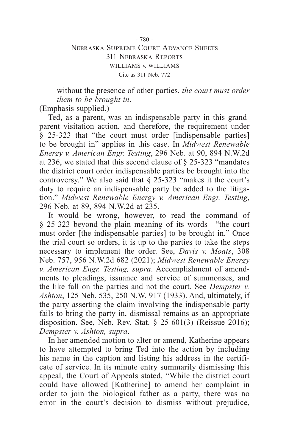#### - 780 - Nebraska Supreme Court Advance Sheets 311 Nebraska Reports WILLIAMS v. WILLIAMS Cite as 311 Neb. 772

without the presence of other parties, *the court must order them to be brought in*.

(Emphasis supplied.)

Ted, as a parent, was an indispensable party in this grandparent visitation action, and therefore, the requirement under § 25-323 that "the court must order [indispensable parties] to be brought in" applies in this case. In *Midwest Renewable Energy v. American Engr. Testing*, 296 Neb. at 90, 894 N.W.2d at 236, we stated that this second clause of § 25-323 "mandates the district court order indispensable parties be brought into the controversy." We also said that § 25-323 "makes it the court's duty to require an indispensable party be added to the litigation." *Midwest Renewable Energy v. American Engr. Testing*, 296 Neb. at 89, 894 N.W.2d at 235.

It would be wrong, however, to read the command of § 25-323 beyond the plain meaning of its words—"the court must order [the indispensable parties] to be brought in." Once the trial court so orders, it is up to the parties to take the steps necessary to implement the order. See, *Davis v. Moats*, 308 Neb. 757, 956 N.W.2d 682 (2021); *Midwest Renewable Energy v. American Engr. Testing, supra*. Accomplishment of amendments to pleadings, issuance and service of summonses, and the like fall on the parties and not the court. See *Dempster v. Ashton*, 125 Neb. 535, 250 N.W. 917 (1933). And, ultimately, if the party asserting the claim involving the indispensable party fails to bring the party in, dismissal remains as an appropriate disposition. See, Neb. Rev. Stat. § 25-601(3) (Reissue 2016); *Dempster v. Ashton, supra*.

In her amended motion to alter or amend, Katherine appears to have attempted to bring Ted into the action by including his name in the caption and listing his address in the certificate of service. In its minute entry summarily dismissing this appeal, the Court of Appeals stated, "While the district court could have allowed [Katherine] to amend her complaint in order to join the biological father as a party, there was no error in the court's decision to dismiss without prejudice,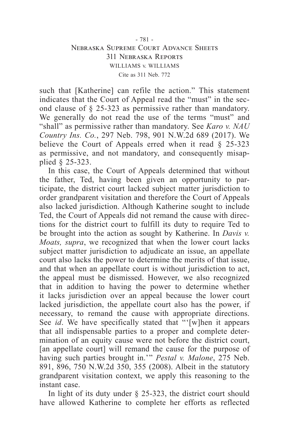#### - 781 - Nebraska Supreme Court Advance Sheets 311 Nebraska Reports WILLIAMS v. WILLIAMS Cite as 311 Neb. 772

such that [Katherine] can refile the action." This statement indicates that the Court of Appeal read the "must" in the second clause of § 25-323 as permissive rather than mandatory. We generally do not read the use of the terms "must" and "shall" as permissive rather than mandatory. See *Karo v. NAU Country Ins. Co.*, 297 Neb. 798, 901 N.W.2d 689 (2017). We believe the Court of Appeals erred when it read § 25-323 as permissive, and not mandatory, and consequently misapplied § 25-323.

In this case, the Court of Appeals determined that without the father, Ted, having been given an opportunity to participate, the district court lacked subject matter jurisdiction to order grandparent visitation and therefore the Court of Appeals also lacked jurisdiction. Although Katherine sought to include Ted, the Court of Appeals did not remand the cause with directions for the district court to fulfill its duty to require Ted to be brought into the action as sought by Katherine. In *Davis v. Moats, supra*, we recognized that when the lower court lacks subject matter jurisdiction to adjudicate an issue, an appellate court also lacks the power to determine the merits of that issue, and that when an appellate court is without jurisdiction to act, the appeal must be dismissed. However, we also recognized that in addition to having the power to determine whether it lacks jurisdiction over an appeal because the lower court lacked jurisdiction, the appellate court also has the power, if necessary, to remand the cause with appropriate directions. See *id*. We have specifically stated that "'[w]hen it appears that all indispensable parties to a proper and complete determination of an equity cause were not before the district court, [an appellate court] will remand the cause for the purpose of having such parties brought in.'" *Pestal v. Malone*, 275 Neb. 891, 896, 750 N.W.2d 350, 355 (2008). Albeit in the statutory grandparent visitation context, we apply this reasoning to the instant case.

In light of its duty under  $\S$  25-323, the district court should have allowed Katherine to complete her efforts as reflected